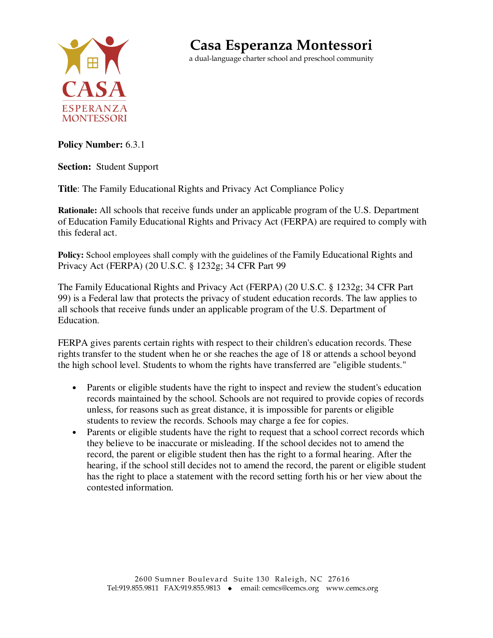

**Casa Esperanza Montessori**

a dual-language charter school and preschool community

**Policy Number:** 6.3.1

**Section:** Student Support

**Title**: The Family Educational Rights and Privacy Act Compliance Policy

**Rationale:** All schools that receive funds under an applicable program of the U.S. Department of Education Family Educational Rights and Privacy Act (FERPA) are required to comply with this federal act.

**Policy:** School employees shall comply with the guidelines of the Family Educational Rights and Privacy Act (FERPA) (20 U.S.C. § 1232g; 34 CFR Part 99

The Family Educational Rights and Privacy Act (FERPA) (20 U.S.C. § 1232g; 34 CFR Part 99) is a Federal law that protects the privacy of student education records. The law applies to all schools that receive funds under an applicable program of the U.S. Department of Education.

FERPA gives parents certain rights with respect to their children's education records. These rights transfer to the student when he or she reaches the age of 18 or attends a school beyond the high school level. Students to whom the rights have transferred are "eligible students."

- Parents or eligible students have the right to inspect and review the student's education records maintained by the school. Schools are not required to provide copies of records unless, for reasons such as great distance, it is impossible for parents or eligible students to review the records. Schools may charge a fee for copies.
- Parents or eligible students have the right to request that a school correct records which they believe to be inaccurate or misleading. If the school decides not to amend the record, the parent or eligible student then has the right to a formal hearing. After the hearing, if the school still decides not to amend the record, the parent or eligible student has the right to place a statement with the record setting forth his or her view about the contested information.